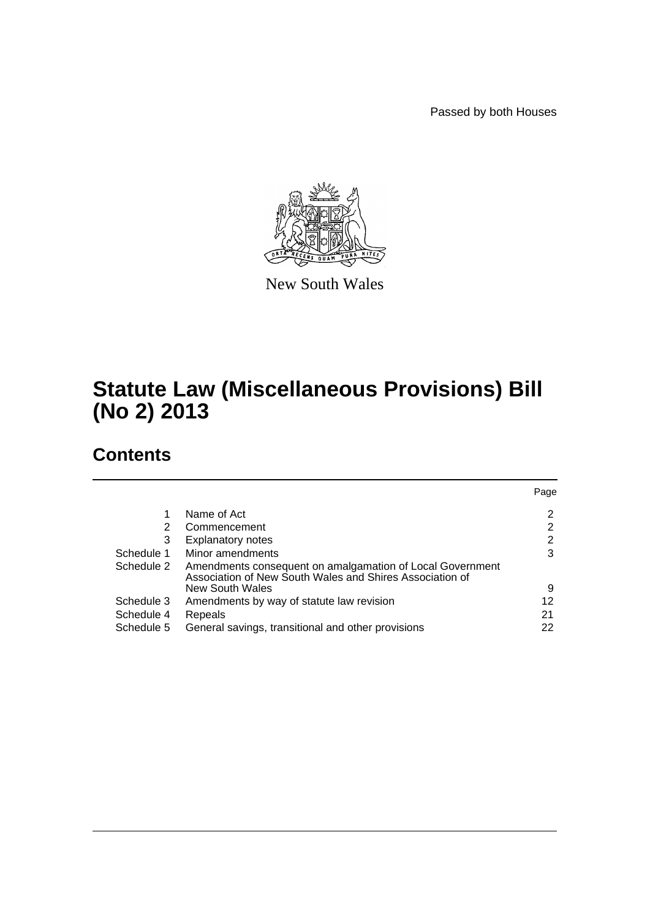Passed by both Houses



New South Wales

# **Statute Law (Miscellaneous Provisions) Bill (No 2) 2013**

# **Contents**

|            |                                                                                                                       | Page |
|------------|-----------------------------------------------------------------------------------------------------------------------|------|
|            | Name of Act                                                                                                           | 2    |
| 2          | Commencement                                                                                                          | 2    |
| 3          | <b>Explanatory notes</b>                                                                                              | 2    |
| Schedule 1 | Minor amendments                                                                                                      | 3    |
| Schedule 2 | Amendments consequent on amalgamation of Local Government<br>Association of New South Wales and Shires Association of |      |
|            | New South Wales                                                                                                       | 9    |
| Schedule 3 | Amendments by way of statute law revision                                                                             | 12   |
| Schedule 4 | Repeals                                                                                                               | 21   |
| Schedule 5 | General savings, transitional and other provisions                                                                    | 22   |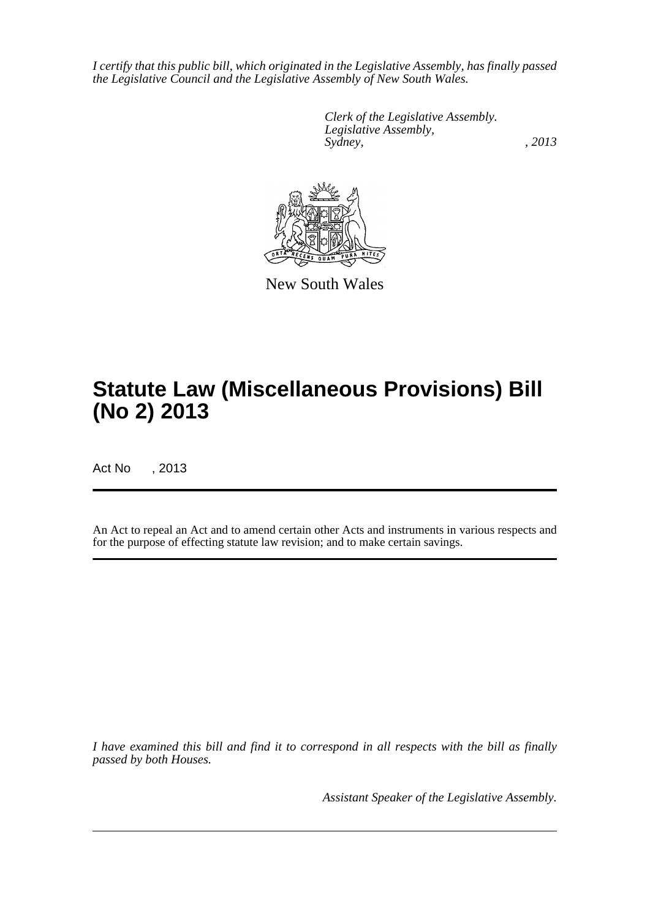*I certify that this public bill, which originated in the Legislative Assembly, has finally passed the Legislative Council and the Legislative Assembly of New South Wales.*

> *Clerk of the Legislative Assembly. Legislative Assembly, Sydney, , 2013*



New South Wales

# **Statute Law (Miscellaneous Provisions) Bill (No 2) 2013**

Act No , 2013

An Act to repeal an Act and to amend certain other Acts and instruments in various respects and for the purpose of effecting statute law revision; and to make certain savings.

*I have examined this bill and find it to correspond in all respects with the bill as finally passed by both Houses.*

*Assistant Speaker of the Legislative Assembly.*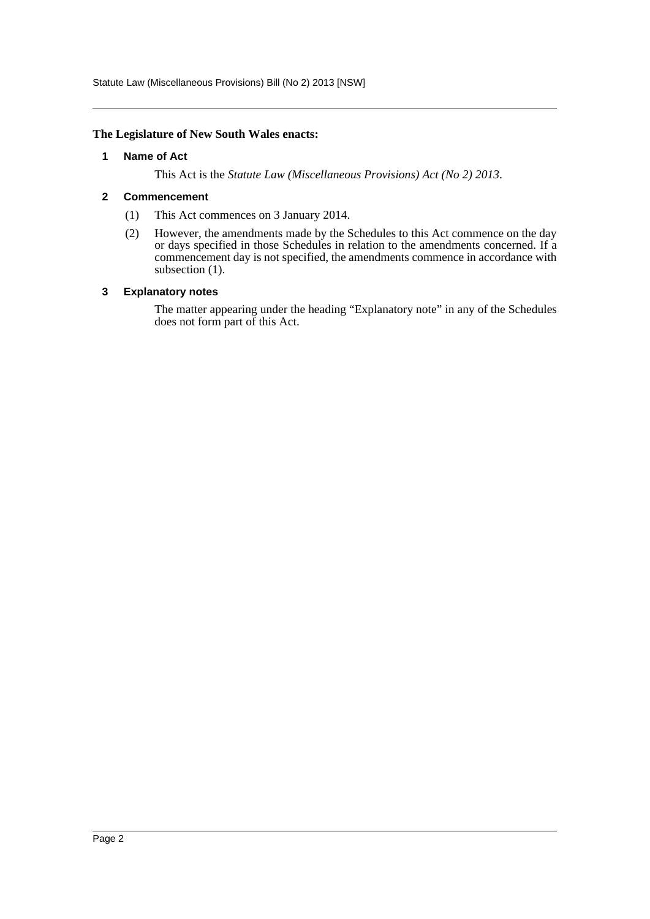Statute Law (Miscellaneous Provisions) Bill (No 2) 2013 [NSW]

#### <span id="page-2-0"></span>**The Legislature of New South Wales enacts:**

#### **1 Name of Act**

This Act is the *Statute Law (Miscellaneous Provisions) Act (No 2) 2013*.

#### <span id="page-2-1"></span>**2 Commencement**

- (1) This Act commences on 3 January 2014.
- (2) However, the amendments made by the Schedules to this Act commence on the day or days specified in those Schedules in relation to the amendments concerned. If a commencement day is not specified, the amendments commence in accordance with subsection  $(1)$ .

#### <span id="page-2-2"></span>**3 Explanatory notes**

The matter appearing under the heading "Explanatory note" in any of the Schedules does not form part of this Act.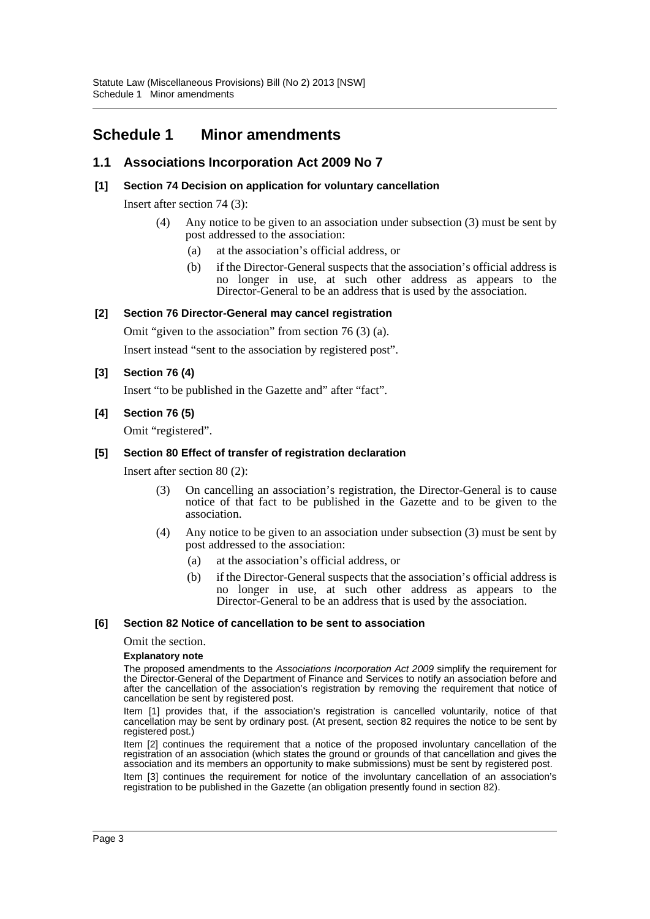# <span id="page-3-0"></span>**Schedule 1 Minor amendments**

# **1.1 Associations Incorporation Act 2009 No 7**

### **[1] Section 74 Decision on application for voluntary cancellation**

Insert after section 74 (3):

- (4) Any notice to be given to an association under subsection (3) must be sent by post addressed to the association:
	- (a) at the association's official address, or
	- (b) if the Director-General suspects that the association's official address is no longer in use, at such other address as appears to the Director-General to be an address that is used by the association.

### **[2] Section 76 Director-General may cancel registration**

Omit "given to the association" from section 76 (3) (a).

Insert instead "sent to the association by registered post".

### **[3] Section 76 (4)**

Insert "to be published in the Gazette and" after "fact".

### **[4] Section 76 (5)**

Omit "registered".

### **[5] Section 80 Effect of transfer of registration declaration**

Insert after section 80 (2):

- (3) On cancelling an association's registration, the Director-General is to cause notice of that fact to be published in the Gazette and to be given to the association.
- (4) Any notice to be given to an association under subsection (3) must be sent by post addressed to the association:
	- (a) at the association's official address, or
	- (b) if the Director-General suspects that the association's official address is no longer in use, at such other address as appears to the Director-General to be an address that is used by the association.

#### **[6] Section 82 Notice of cancellation to be sent to association**

Omit the section.

#### **Explanatory note**

The proposed amendments to the *Associations Incorporation Act 2009* simplify the requirement for the Director-General of the Department of Finance and Services to notify an association before and after the cancellation of the association's registration by removing the requirement that notice of cancellation be sent by registered post.

Item [1] provides that, if the association's registration is cancelled voluntarily, notice of that cancellation may be sent by ordinary post. (At present, section 82 requires the notice to be sent by registered post.)

Item [2] continues the requirement that a notice of the proposed involuntary cancellation of the registration of an association (which states the ground or grounds of that cancellation and gives the association and its members an opportunity to make submissions) must be sent by registered post. Item [3] continues the requirement for notice of the involuntary cancellation of an association's registration to be published in the Gazette (an obligation presently found in section 82).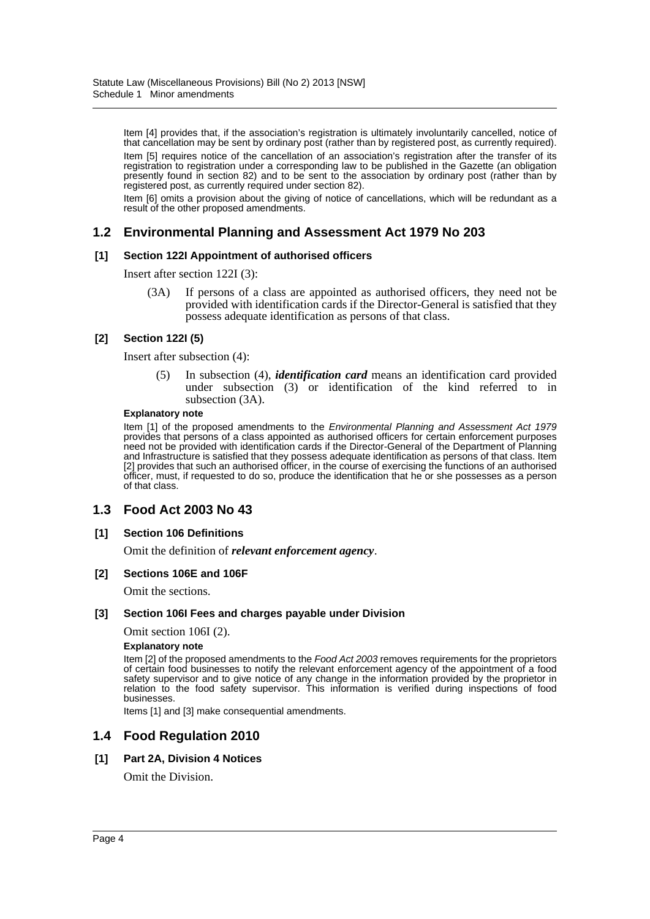Item [4] provides that, if the association's registration is ultimately involuntarily cancelled, notice of that cancellation may be sent by ordinary post (rather than by registered post, as currently required). Item [5] requires notice of the cancellation of an association's registration after the transfer of its registration to registration under a corresponding law to be published in the Gazette (an obligation presently found in section 82) and to be sent to the association by ordinary post (rather than by registered post, as currently required under section 82).

Item [6] omits a provision about the giving of notice of cancellations, which will be redundant as a result of the other proposed amendments.

### **1.2 Environmental Planning and Assessment Act 1979 No 203**

#### **[1] Section 122I Appointment of authorised officers**

Insert after section 122I (3):

(3A) If persons of a class are appointed as authorised officers, they need not be provided with identification cards if the Director-General is satisfied that they possess adequate identification as persons of that class.

#### **[2] Section 122I (5)**

Insert after subsection (4):

(5) In subsection (4), *identification card* means an identification card provided under subsection (3) or identification of the kind referred to in subsection (3A).

#### **Explanatory note**

Item [1] of the proposed amendments to the *Environmental Planning and Assessment Act 1979* provides that persons of a class appointed as authorised officers for certain enforcement purposes need not be provided with identification cards if the Director-General of the Department of Planning and Infrastructure is satisfied that they possess adequate identification as persons of that class. Item [2] provides that such an authorised officer, in the course of exercising the functions of an authorised officer, must, if requested to do so, produce the identification that he or she possesses as a person of that class.

### **1.3 Food Act 2003 No 43**

#### **[1] Section 106 Definitions**

Omit the definition of *relevant enforcement agency*.

#### **[2] Sections 106E and 106F**

Omit the sections.

#### **[3] Section 106I Fees and charges payable under Division**

Omit section 106I (2).

#### **Explanatory note**

Item [2] of the proposed amendments to the *Food Act 2003* removes requirements for the proprietors of certain food businesses to notify the relevant enforcement agency of the appointment of a food safety supervisor and to give notice of any change in the information provided by the proprietor in relation to the food safety supervisor. This information is verified during inspections of food businesses.

Items [1] and [3] make consequential amendments.

### **1.4 Food Regulation 2010**

#### **[1] Part 2A, Division 4 Notices**

Omit the Division.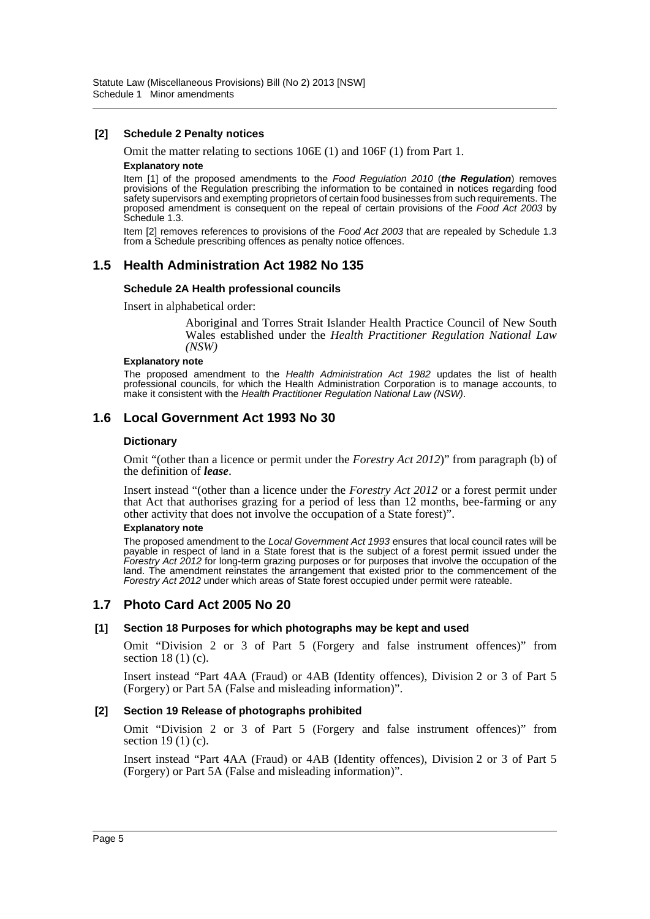#### **[2] Schedule 2 Penalty notices**

Omit the matter relating to sections 106E (1) and 106F (1) from Part 1.

#### **Explanatory note**

Item [1] of the proposed amendments to the *Food Regulation 2010* (*the Regulation*) removes provisions of the Regulation prescribing the information to be contained in notices regarding food safety supervisors and exempting proprietors of certain food businesses from such requirements. The proposed amendment is consequent on the repeal of certain provisions of the *Food Act 2003* by Schedule 1.3.

Item [2] removes references to provisions of the *Food Act 2003* that are repealed by Schedule 1.3 from a Schedule prescribing offences as penalty notice offences.

### **1.5 Health Administration Act 1982 No 135**

#### **Schedule 2A Health professional councils**

Insert in alphabetical order:

Aboriginal and Torres Strait Islander Health Practice Council of New South Wales established under the *Health Practitioner Regulation National Law (NSW)*

#### **Explanatory note**

The proposed amendment to the *Health Administration Act 1982* updates the list of health professional councils, for which the Health Administration Corporation is to manage accounts, to make it consistent with the *Health Practitioner Regulation National Law (NSW)*.

### **1.6 Local Government Act 1993 No 30**

#### **Dictionary**

Omit "(other than a licence or permit under the *Forestry Act 2012*)" from paragraph (b) of the definition of *lease*.

Insert instead "(other than a licence under the *Forestry Act 2012* or a forest permit under that Act that authorises grazing for a period of less than 12 months, bee-farming or any other activity that does not involve the occupation of a State forest)".

#### **Explanatory note**

The proposed amendment to the *Local Government Act 1993* ensures that local council rates will be payable in respect of land in a State forest that is the subject of a forest permit issued under the *Forestry Act 2012* for long-term grazing purposes or for purposes that involve the occupation of the land. The amendment reinstates the arrangement that existed prior to the commencement of the *Forestry Act 2012* under which areas of State forest occupied under permit were rateable.

### **1.7 Photo Card Act 2005 No 20**

#### **[1] Section 18 Purposes for which photographs may be kept and used**

Omit "Division 2 or 3 of Part 5 (Forgery and false instrument offences)" from section 18 (1) (c).

Insert instead "Part 4AA (Fraud) or 4AB (Identity offences), Division 2 or 3 of Part 5 (Forgery) or Part 5A (False and misleading information)".

#### **[2] Section 19 Release of photographs prohibited**

Omit "Division 2 or 3 of Part 5 (Forgery and false instrument offences)" from section 19 (1) (c).

Insert instead "Part 4AA (Fraud) or 4AB (Identity offences), Division 2 or 3 of Part 5 (Forgery) or Part 5A (False and misleading information)".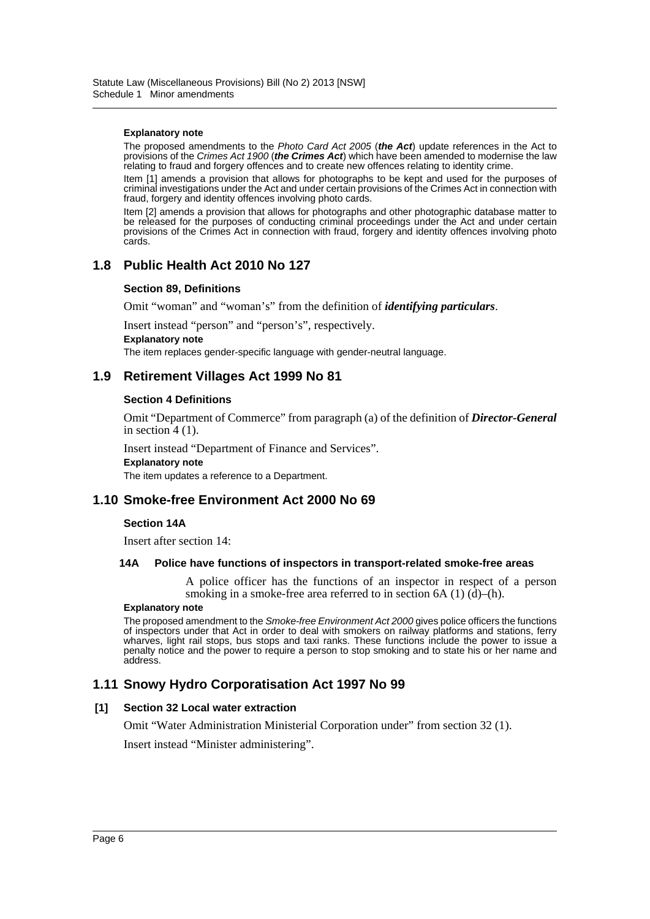#### **Explanatory note**

The proposed amendments to the *Photo Card Act 2005* (*the Act*) update references in the Act to provisions of the *Crimes Act 1900* (*the Crimes Act*) which have been amended to modernise the law relating to fraud and forgery offences and to create new offences relating to identity crime.

Item [1] amends a provision that allows for photographs to be kept and used for the purposes of criminal investigations under the Act and under certain provisions of the Crimes Act in connection with fraud, forgery and identity offences involving photo cards.

Item [2] amends a provision that allows for photographs and other photographic database matter to be released for the purposes of conducting criminal proceedings under the Act and under certain provisions of the Crimes Act in connection with fraud, forgery and identity offences involving photo cards.

### **1.8 Public Health Act 2010 No 127**

#### **Section 89, Definitions**

Omit "woman" and "woman's" from the definition of *identifying particulars*.

Insert instead "person" and "person's", respectively.

**Explanatory note**

The item replaces gender-specific language with gender-neutral language.

### **1.9 Retirement Villages Act 1999 No 81**

#### **Section 4 Definitions**

Omit "Department of Commerce" from paragraph (a) of the definition of *Director-General* in section  $4(1)$ .

Insert instead "Department of Finance and Services".

**Explanatory note**

The item updates a reference to a Department.

### **1.10 Smoke-free Environment Act 2000 No 69**

#### **Section 14A**

Insert after section 14:

#### **14A Police have functions of inspectors in transport-related smoke-free areas**

A police officer has the functions of an inspector in respect of a person smoking in a smoke-free area referred to in section  $6A(1)(d)$ –(h).

#### **Explanatory note**

The proposed amendment to the *Smoke-free Environment Act 2000* gives police officers the functions of inspectors under that Act in order to deal with smokers on railway platforms and stations, ferry wharves, light rail stops, bus stops and taxi ranks. These functions include the power to issue a penalty notice and the power to require a person to stop smoking and to state his or her name and address.

### **1.11 Snowy Hydro Corporatisation Act 1997 No 99**

#### **[1] Section 32 Local water extraction**

Omit "Water Administration Ministerial Corporation under" from section 32 (1).

Insert instead "Minister administering".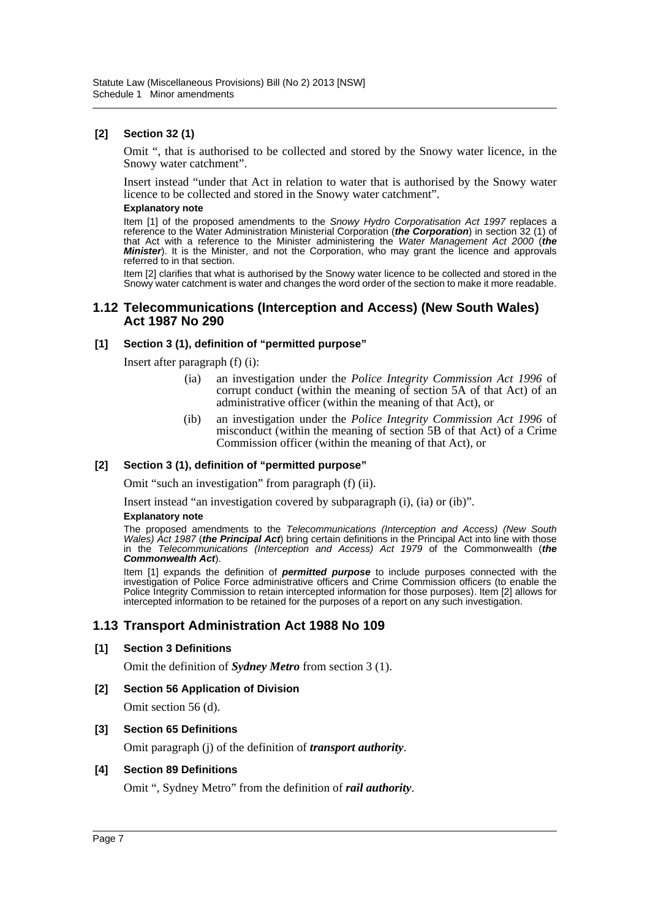### **[2] Section 32 (1)**

Omit ", that is authorised to be collected and stored by the Snowy water licence, in the Snowy water catchment".

Insert instead "under that Act in relation to water that is authorised by the Snowy water licence to be collected and stored in the Snowy water catchment".

#### **Explanatory note**

Item [1] of the proposed amendments to the *Snowy Hydro Corporatisation Act 1997* replaces a reference to the Water Administration Ministerial Corporation (*the Corporation*) in section 32 (1) of that Act with a reference to the Minister administering the *Water Management Act 2000* (*the Minister*). It is the Minister, and not the Corporation, who may grant the licence and approvals referred to in that section.

Item [2] clarifies that what is authorised by the Snowy water licence to be collected and stored in the Snowy water catchment is water and changes the word order of the section to make it more readable.

#### **1.12 Telecommunications (Interception and Access) (New South Wales) Act 1987 No 290**

#### **[1] Section 3 (1), definition of "permitted purpose"**

Insert after paragraph (f) (i):

- (ia) an investigation under the *Police Integrity Commission Act 1996* of corrupt conduct (within the meaning of section 5A of that Act) of an administrative officer (within the meaning of that Act), or
- (ib) an investigation under the *Police Integrity Commission Act 1996* of misconduct (within the meaning of section 5B of that Act) of a Crime Commission officer (within the meaning of that Act), or

#### **[2] Section 3 (1), definition of "permitted purpose"**

Omit "such an investigation" from paragraph (f) (ii).

Insert instead "an investigation covered by subparagraph (i), (ia) or (ib)".

#### **Explanatory note**

The proposed amendments to the *Telecommunications (Interception and Access) (New South Wales) Act 1987* (*the Principal Act*) bring certain definitions in the Principal Act into line with those in the *Telecommunications (Interception and Access) Act 1979* of the Commonwealth (*the Commonwealth Act*).

Item [1] expands the definition of *permitted purpose* to include purposes connected with the investigation of Police Force administrative officers and Crime Commission officers (to enable the Police Integrity Commission to retain intercepted information for those purposes). Item [2] allows for intercepted information to be retained for the purposes of a report on any such investigation.

### **1.13 Transport Administration Act 1988 No 109**

#### **[1] Section 3 Definitions**

Omit the definition of *Sydney Metro* from section 3 (1).

#### **[2] Section 56 Application of Division**

Omit section 56 (d).

#### **[3] Section 65 Definitions**

Omit paragraph (j) of the definition of *transport authority*.

#### **[4] Section 89 Definitions**

Omit ", Sydney Metro" from the definition of *rail authority*.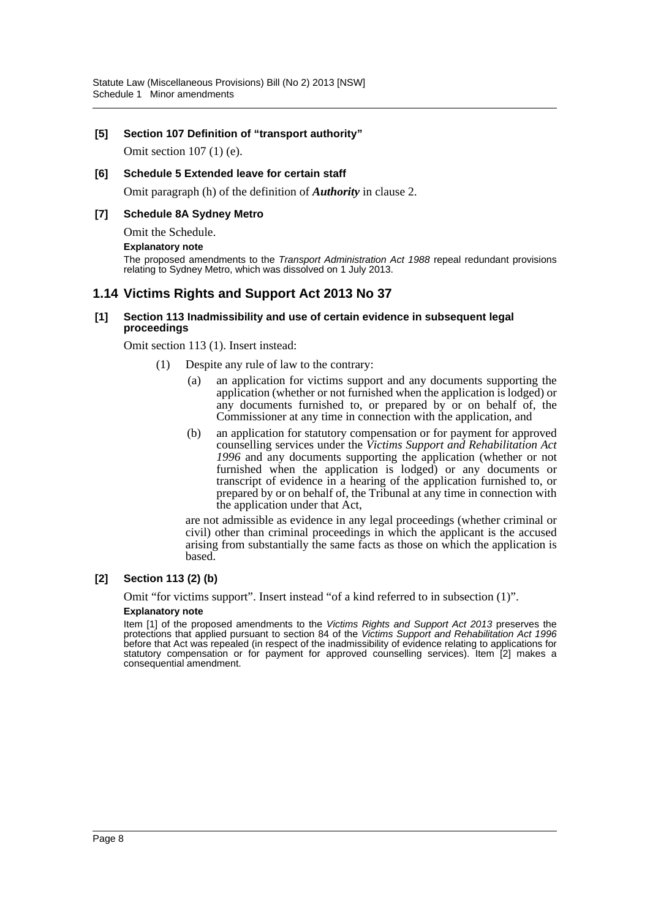#### **[5] Section 107 Definition of "transport authority"**

Omit section 107 (1) (e).

#### **[6] Schedule 5 Extended leave for certain staff**

Omit paragraph (h) of the definition of *Authority* in clause 2.

### **[7] Schedule 8A Sydney Metro**

Omit the Schedule.

#### **Explanatory note**

The proposed amendments to the *Transport Administration Act 1988* repeal redundant provisions relating to Sydney Metro, which was dissolved on 1 July 2013.

### **1.14 Victims Rights and Support Act 2013 No 37**

#### **[1] Section 113 Inadmissibility and use of certain evidence in subsequent legal proceedings**

Omit section 113 (1). Insert instead:

- (1) Despite any rule of law to the contrary:
	- (a) an application for victims support and any documents supporting the application (whether or not furnished when the application is lodged) or any documents furnished to, or prepared by  $or$  on behalf of, the Commissioner at any time in connection with the application, and
	- (b) an application for statutory compensation or for payment for approved counselling services under the *Victims Support and Rehabilitation Act 1996* and any documents supporting the application (whether or not furnished when the application is lodged) or any documents or transcript of evidence in a hearing of the application furnished to, or prepared by or on behalf of, the Tribunal at any time in connection with the application under that Act,

are not admissible as evidence in any legal proceedings (whether criminal or civil) other than criminal proceedings in which the applicant is the accused arising from substantially the same facts as those on which the application is based.

#### **[2] Section 113 (2) (b)**

Omit "for victims support". Insert instead "of a kind referred to in subsection (1)".

#### **Explanatory note**

Item [1] of the proposed amendments to the *Victims Rights and Support Act 2013* preserves the protections that applied pursuant to section 84 of the *Victims Support and Rehabilitation Act 1996* before that Act was repealed (in respect of the inadmissibility of evidence relating to applications for statutory compensation or for payment for approved counselling services). Item [2] makes a consequential amendment.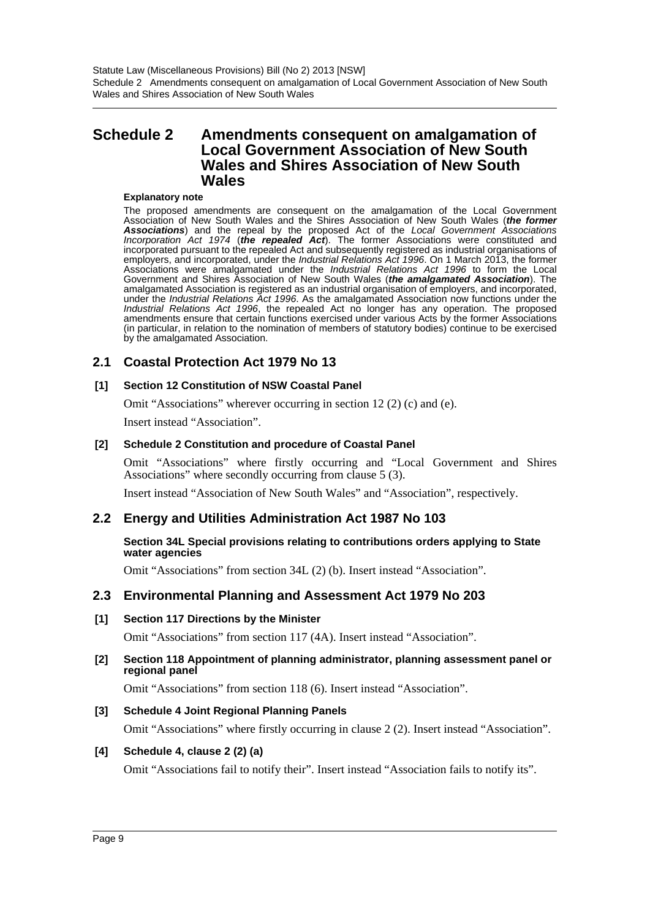Statute Law (Miscellaneous Provisions) Bill (No 2) 2013 [NSW] Schedule 2 Amendments consequent on amalgamation of Local Government Association of New South Wales and Shires Association of New South Wales

# <span id="page-9-0"></span>**Schedule 2 Amendments consequent on amalgamation of Local Government Association of New South Wales and Shires Association of New South Wales**

#### **Explanatory note**

The proposed amendments are consequent on the amalgamation of the Local Government Association of New South Wales and the Shires Association of New South Wales (*the former Associations*) and the repeal by the proposed Act of the *Local Government Associations Incorporation Act 1974* (*the repealed Act*). The former Associations were constituted and incorporated pursuant to the repealed Act and subsequently registered as industrial organisations of employers, and incorporated, under the *Industrial Relations Act 1996*. On 1 March 2013, the former Associations were amalgamated under the *Industrial Relations Act 1996* to form the Local Government and Shires Association of New South Wales (*the amalgamated Association*). The amalgamated Association is registered as an industrial organisation of employers, and incorporated, under the *Industrial Relations Act 1996*. As the amalgamated Association now functions under the *Industrial Relations Act 1996*, the repealed Act no longer has any operation. The proposed amendments ensure that certain functions exercised under various Acts by the former Associations (in particular, in relation to the nomination of members of statutory bodies) continue to be exercised by the amalgamated Association.

### **2.1 Coastal Protection Act 1979 No 13**

#### **[1] Section 12 Constitution of NSW Coastal Panel**

Omit "Associations" wherever occurring in section 12 (2) (c) and (e).

Insert instead "Association".

#### **[2] Schedule 2 Constitution and procedure of Coastal Panel**

Omit "Associations" where firstly occurring and "Local Government and Shires Associations" where secondly occurring from clause 5 (3).

Insert instead "Association of New South Wales" and "Association", respectively.

### **2.2 Energy and Utilities Administration Act 1987 No 103**

**Section 34L Special provisions relating to contributions orders applying to State water agencies**

Omit "Associations" from section 34L (2) (b). Insert instead "Association".

### **2.3 Environmental Planning and Assessment Act 1979 No 203**

#### **[1] Section 117 Directions by the Minister**

Omit "Associations" from section 117 (4A). Insert instead "Association".

#### **[2] Section 118 Appointment of planning administrator, planning assessment panel or regional panel**

Omit "Associations" from section 118 (6). Insert instead "Association".

#### **[3] Schedule 4 Joint Regional Planning Panels**

Omit "Associations" where firstly occurring in clause 2 (2). Insert instead "Association".

#### **[4] Schedule 4, clause 2 (2) (a)**

Omit "Associations fail to notify their". Insert instead "Association fails to notify its".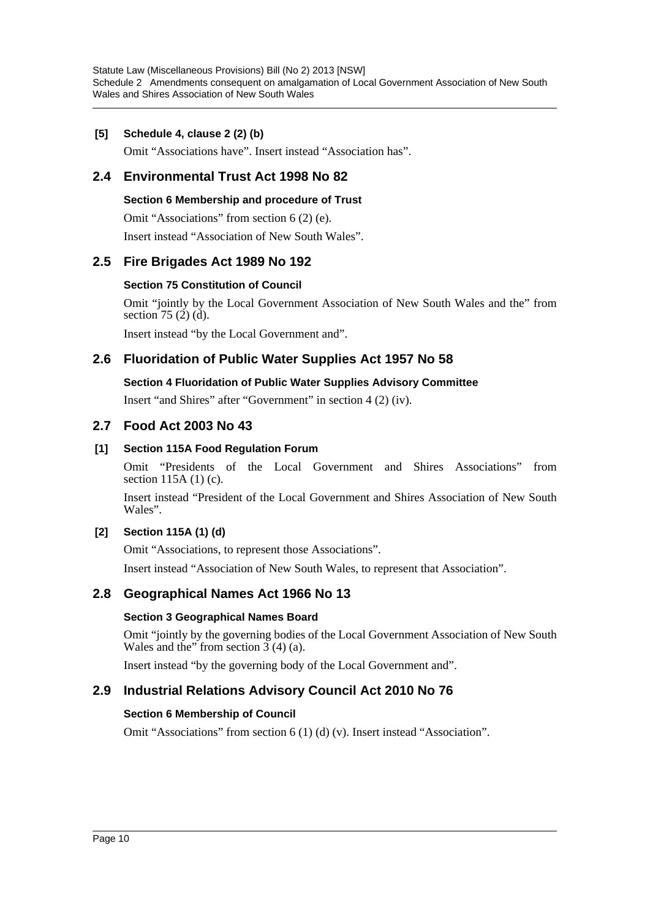Statute Law (Miscellaneous Provisions) Bill (No 2) 2013 [NSW] Schedule 2 Amendments consequent on amalgamation of Local Government Association of New South Wales and Shires Association of New South Wales

### **[5] Schedule 4, clause 2 (2) (b)**

Omit "Associations have". Insert instead "Association has".

# **2.4 Environmental Trust Act 1998 No 82**

### **Section 6 Membership and procedure of Trust**

Omit "Associations" from section 6 (2) (e).

Insert instead "Association of New South Wales".

### **2.5 Fire Brigades Act 1989 No 192**

### **Section 75 Constitution of Council**

Omit "jointly by the Local Government Association of New South Wales and the" from section  $75$  (2) (d).

Insert instead "by the Local Government and".

### **2.6 Fluoridation of Public Water Supplies Act 1957 No 58**

### **Section 4 Fluoridation of Public Water Supplies Advisory Committee**

Insert "and Shires" after "Government" in section 4 (2) (iv).

### **2.7 Food Act 2003 No 43**

### **[1] Section 115A Food Regulation Forum**

Omit "Presidents of the Local Government and Shires Associations" from section 115A (1) (c).

Insert instead "President of the Local Government and Shires Association of New South Wales".

### **[2] Section 115A (1) (d)**

Omit "Associations, to represent those Associations". Insert instead "Association of New South Wales, to represent that Association".

### **2.8 Geographical Names Act 1966 No 13**

#### **Section 3 Geographical Names Board**

Omit "jointly by the governing bodies of the Local Government Association of New South Wales and the" from section  $3(4)(a)$ .

Insert instead "by the governing body of the Local Government and".

### **2.9 Industrial Relations Advisory Council Act 2010 No 76**

#### **Section 6 Membership of Council**

Omit "Associations" from section 6 (1) (d) (v). Insert instead "Association".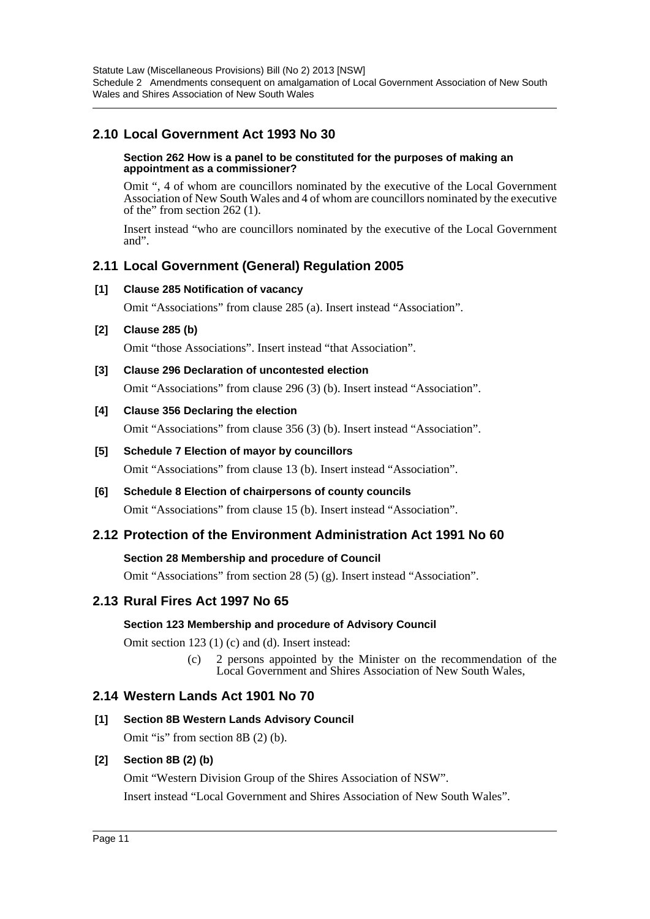# **2.10 Local Government Act 1993 No 30**

#### **Section 262 How is a panel to be constituted for the purposes of making an appointment as a commissioner?**

Omit ", 4 of whom are councillors nominated by the executive of the Local Government Association of New South Wales and 4 of whom are councillors nominated by the executive of the" from section 262 (1).

Insert instead "who are councillors nominated by the executive of the Local Government and".

### **2.11 Local Government (General) Regulation 2005**

### **[1] Clause 285 Notification of vacancy**

Omit "Associations" from clause 285 (a). Insert instead "Association".

### **[2] Clause 285 (b)**

Omit "those Associations". Insert instead "that Association".

### **[3] Clause 296 Declaration of uncontested election**

Omit "Associations" from clause 296 (3) (b). Insert instead "Association".

### **[4] Clause 356 Declaring the election**

Omit "Associations" from clause 356 (3) (b). Insert instead "Association".

### **[5] Schedule 7 Election of mayor by councillors**

Omit "Associations" from clause 13 (b). Insert instead "Association".

### **[6] Schedule 8 Election of chairpersons of county councils**

Omit "Associations" from clause 15 (b). Insert instead "Association".

### **2.12 Protection of the Environment Administration Act 1991 No 60**

#### **Section 28 Membership and procedure of Council**

Omit "Associations" from section 28 (5) (g). Insert instead "Association".

### **2.13 Rural Fires Act 1997 No 65**

#### **Section 123 Membership and procedure of Advisory Council**

Omit section 123 (1) (c) and (d). Insert instead:

(c) 2 persons appointed by the Minister on the recommendation of the Local Government and Shires Association of New South Wales,

### **2.14 Western Lands Act 1901 No 70**

**[1] Section 8B Western Lands Advisory Council**

Omit "is" from section 8B (2) (b).

### **[2] Section 8B (2) (b)**

Omit "Western Division Group of the Shires Association of NSW". Insert instead "Local Government and Shires Association of New South Wales".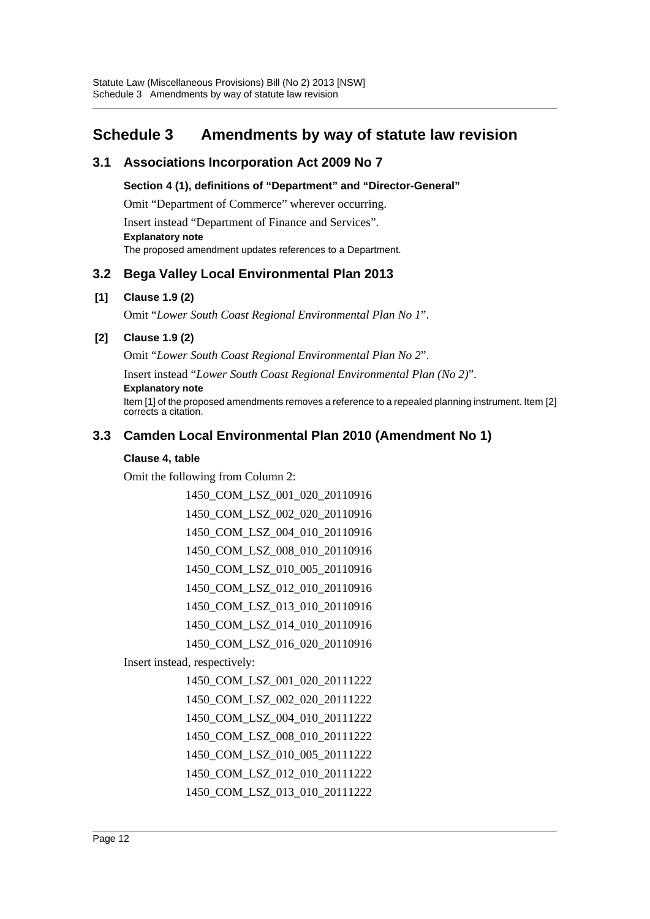# <span id="page-12-0"></span>**Schedule 3 Amendments by way of statute law revision**

# **3.1 Associations Incorporation Act 2009 No 7**

**Section 4 (1), definitions of "Department" and "Director-General"**

Omit "Department of Commerce" wherever occurring.

Insert instead "Department of Finance and Services". **Explanatory note**

The proposed amendment updates references to a Department.

# **3.2 Bega Valley Local Environmental Plan 2013**

### **[1] Clause 1.9 (2)**

Omit "*Lower South Coast Regional Environmental Plan No 1*".

### **[2] Clause 1.9 (2)**

Omit "*Lower South Coast Regional Environmental Plan No 2*".

Insert instead "*Lower South Coast Regional Environmental Plan (No 2)*".

#### **Explanatory note**

Item [1] of the proposed amendments removes a reference to a repealed planning instrument. Item [2] corrects a citation.

# **3.3 Camden Local Environmental Plan 2010 (Amendment No 1)**

### **Clause 4, table**

Omit the following from Column 2:

1450\_COM\_LSZ\_001\_020\_20110916 1450\_COM\_LSZ\_002\_020\_20110916 1450\_COM\_LSZ\_004\_010\_20110916 1450\_COM\_LSZ\_008\_010\_20110916 1450\_COM\_LSZ\_010\_005\_20110916 1450\_COM\_LSZ\_012\_010\_20110916 1450\_COM\_LSZ\_013\_010\_20110916 1450\_COM\_LSZ\_014\_010\_20110916 1450\_COM\_LSZ\_016\_020\_20110916

Insert instead, respectively:

1450\_COM\_LSZ\_001\_020\_20111222 1450\_COM\_LSZ\_002\_020\_20111222 1450\_COM\_LSZ\_004\_010\_20111222 1450\_COM\_LSZ\_008\_010\_20111222 1450\_COM\_LSZ\_010\_005\_20111222 1450\_COM\_LSZ\_012\_010\_20111222 1450\_COM\_LSZ\_013\_010\_20111222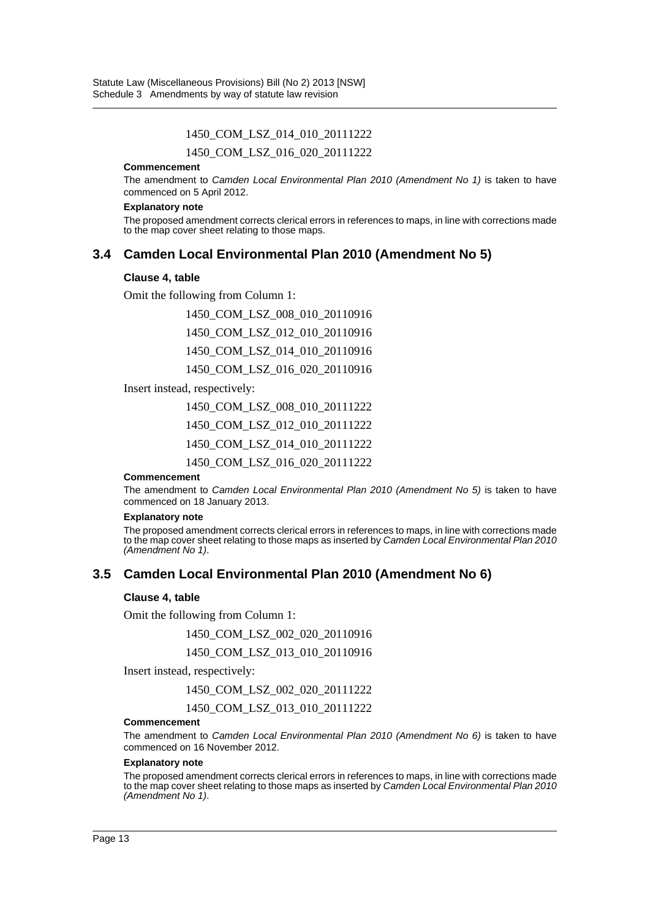#### 1450\_COM\_LSZ\_014\_010\_20111222

1450\_COM\_LSZ\_016\_020\_20111222

#### **Commencement**

The amendment to *Camden Local Environmental Plan 2010 (Amendment No 1)* is taken to have commenced on 5 April 2012.

#### **Explanatory note**

The proposed amendment corrects clerical errors in references to maps, in line with corrections made to the map cover sheet relating to those maps.

### **3.4 Camden Local Environmental Plan 2010 (Amendment No 5)**

#### **Clause 4, table**

Omit the following from Column 1:

1450\_COM\_LSZ\_008\_010\_20110916 1450\_COM\_LSZ\_012\_010\_20110916 1450\_COM\_LSZ\_014\_010\_20110916 1450\_COM\_LSZ\_016\_020\_20110916

Insert instead, respectively:

1450\_COM\_LSZ\_008\_010\_20111222 1450\_COM\_LSZ\_012\_010\_20111222 1450\_COM\_LSZ\_014\_010\_20111222

1450\_COM\_LSZ\_016\_020\_20111222

#### **Commencement**

The amendment to *Camden Local Environmental Plan 2010 (Amendment No 5)* is taken to have commenced on 18 January 2013.

#### **Explanatory note**

The proposed amendment corrects clerical errors in references to maps, in line with corrections made to the map cover sheet relating to those maps as inserted by *Camden Local Environmental Plan 2010 (Amendment No 1)*.

### **3.5 Camden Local Environmental Plan 2010 (Amendment No 6)**

#### **Clause 4, table**

Omit the following from Column 1:

1450\_COM\_LSZ\_002\_020\_20110916

1450\_COM\_LSZ\_013\_010\_20110916

Insert instead, respectively:

1450\_COM\_LSZ\_002\_020\_20111222

1450\_COM\_LSZ\_013\_010\_20111222

#### **Commencement**

The amendment to *Camden Local Environmental Plan 2010 (Amendment No 6)* is taken to have commenced on 16 November 2012.

#### **Explanatory note**

The proposed amendment corrects clerical errors in references to maps, in line with corrections made to the map cover sheet relating to those maps as inserted by *Camden Local Environmental Plan 2010 (Amendment No 1)*.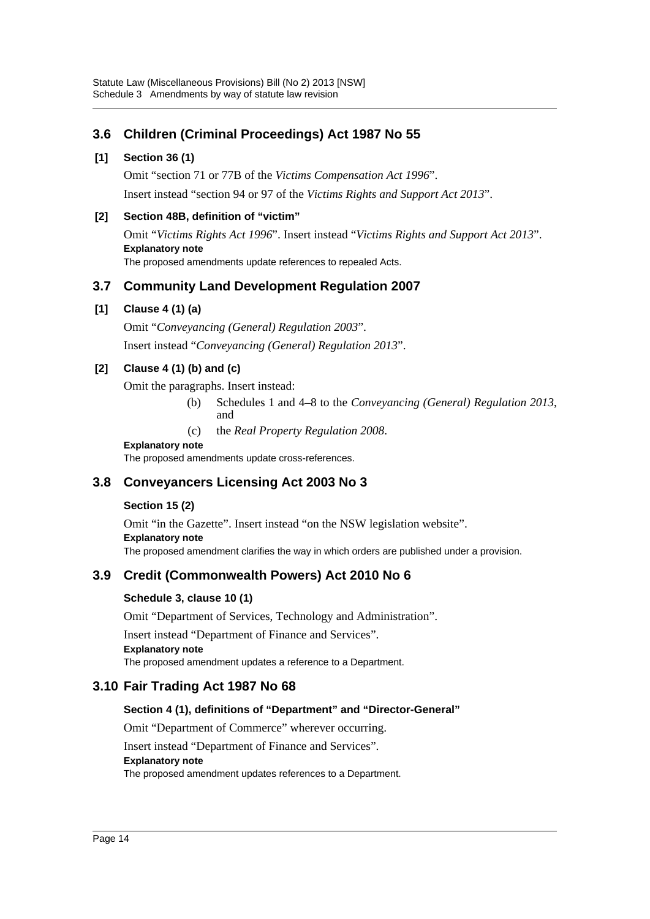# **3.6 Children (Criminal Proceedings) Act 1987 No 55**

### **[1] Section 36 (1)**

Omit "section 71 or 77B of the *Victims Compensation Act 1996*". Insert instead "section 94 or 97 of the *Victims Rights and Support Act 2013*".

### **[2] Section 48B, definition of "victim"**

Omit "*Victims Rights Act 1996*". Insert instead "*Victims Rights and Support Act 2013*". **Explanatory note** The proposed amendments update references to repealed Acts.

# **3.7 Community Land Development Regulation 2007**

### **[1] Clause 4 (1) (a)**

Omit "*Conveyancing (General) Regulation 2003*". Insert instead "*Conveyancing (General) Regulation 2013*".

### **[2] Clause 4 (1) (b) and (c)**

Omit the paragraphs. Insert instead:

- (b) Schedules 1 and 4–8 to the *Conveyancing (General) Regulation 2013*, and
- (c) the *Real Property Regulation 2008*.

#### **Explanatory note**

The proposed amendments update cross-references.

# **3.8 Conveyancers Licensing Act 2003 No 3**

### **Section 15 (2)**

Omit "in the Gazette". Insert instead "on the NSW legislation website".

**Explanatory note**

The proposed amendment clarifies the way in which orders are published under a provision.

# **3.9 Credit (Commonwealth Powers) Act 2010 No 6**

### **Schedule 3, clause 10 (1)**

Omit "Department of Services, Technology and Administration".

Insert instead "Department of Finance and Services". **Explanatory note**

The proposed amendment updates a reference to a Department.

### **3.10 Fair Trading Act 1987 No 68**

### **Section 4 (1), definitions of "Department" and "Director-General"**

Omit "Department of Commerce" wherever occurring.

Insert instead "Department of Finance and Services".

#### **Explanatory note**

The proposed amendment updates references to a Department.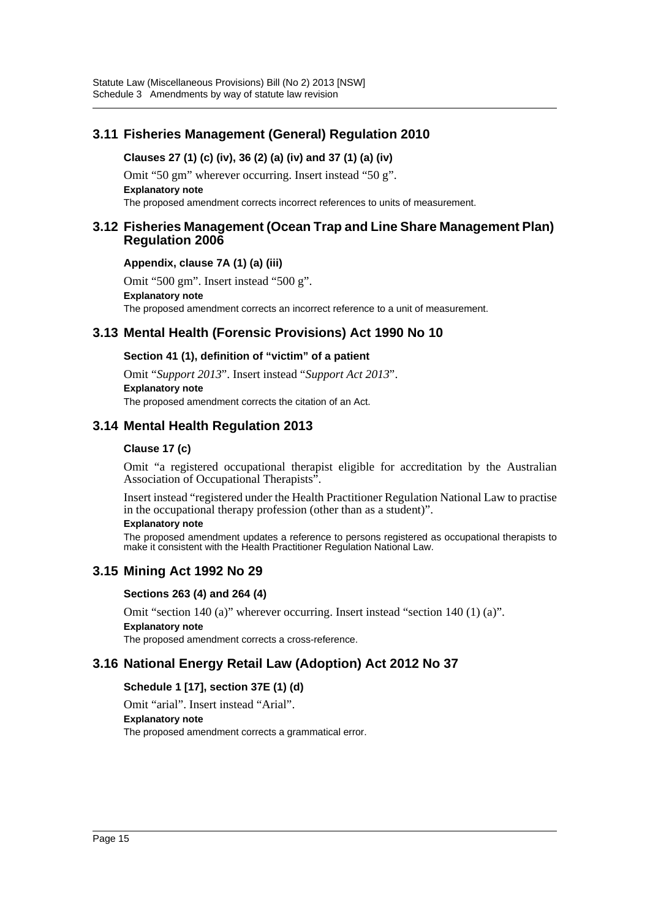# **3.11 Fisheries Management (General) Regulation 2010**

### **Clauses 27 (1) (c) (iv), 36 (2) (a) (iv) and 37 (1) (a) (iv)**

Omit "50 gm" wherever occurring. Insert instead "50 g". **Explanatory note** The proposed amendment corrects incorrect references to units of measurement.

### **3.12 Fisheries Management (Ocean Trap and Line Share Management Plan) Regulation 2006**

### **Appendix, clause 7A (1) (a) (iii)**

Omit "500 gm". Insert instead "500 g". **Explanatory note** The proposed amendment corrects an incorrect reference to a unit of measurement.

# **3.13 Mental Health (Forensic Provisions) Act 1990 No 10**

### **Section 41 (1), definition of "victim" of a patient**

Omit "*Support 2013*". Insert instead "*Support Act 2013*". **Explanatory note** The proposed amendment corrects the citation of an Act.

# **3.14 Mental Health Regulation 2013**

### **Clause 17 (c)**

Omit "a registered occupational therapist eligible for accreditation by the Australian Association of Occupational Therapists".

Insert instead "registered under the Health Practitioner Regulation National Law to practise in the occupational therapy profession (other than as a student)".

#### **Explanatory note**

The proposed amendment updates a reference to persons registered as occupational therapists to make it consistent with the Health Practitioner Regulation National Law.

### **3.15 Mining Act 1992 No 29**

#### **Sections 263 (4) and 264 (4)**

Omit "section 140 (a)" wherever occurring. Insert instead "section 140 (1) (a)". **Explanatory note** The proposed amendment corrects a cross-reference.

### **3.16 National Energy Retail Law (Adoption) Act 2012 No 37**

### **Schedule 1 [17], section 37E (1) (d)**

Omit "arial". Insert instead "Arial". **Explanatory note** The proposed amendment corrects a grammatical error.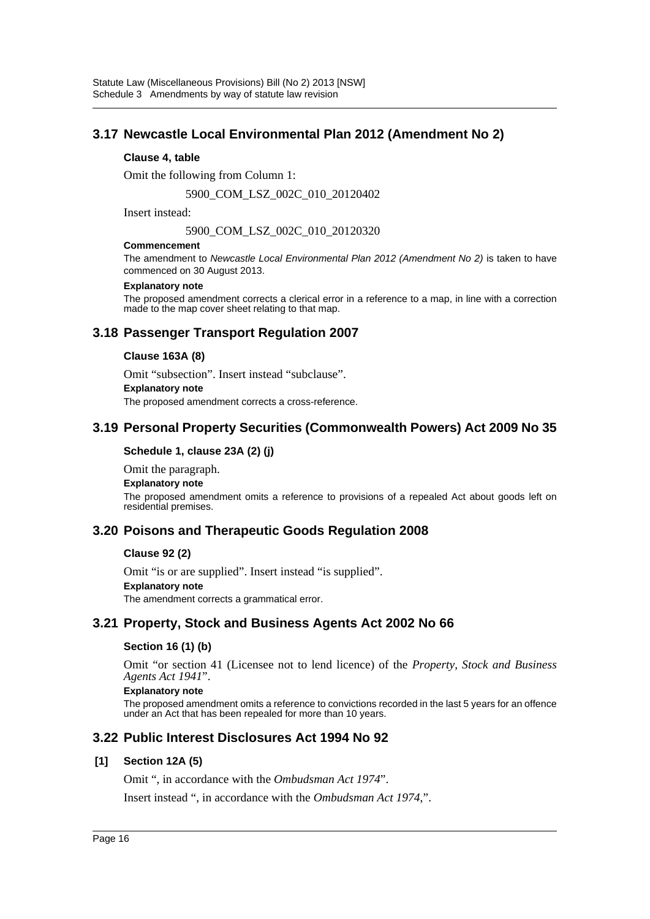# **3.17 Newcastle Local Environmental Plan 2012 (Amendment No 2)**

#### **Clause 4, table**

Omit the following from Column 1:

5900\_COM\_LSZ\_002C\_010\_20120402

Insert instead:

5900\_COM\_LSZ\_002C\_010\_20120320

#### **Commencement**

The amendment to *Newcastle Local Environmental Plan 2012 (Amendment No 2)* is taken to have commenced on 30 August 2013.

#### **Explanatory note**

The proposed amendment corrects a clerical error in a reference to a map, in line with a correction made to the map cover sheet relating to that map.

# **3.18 Passenger Transport Regulation 2007**

### **Clause 163A (8)**

Omit "subsection". Insert instead "subclause".

**Explanatory note**

The proposed amendment corrects a cross-reference.

### **3.19 Personal Property Securities (Commonwealth Powers) Act 2009 No 35**

### **Schedule 1, clause 23A (2) (j)**

Omit the paragraph.

#### **Explanatory note**

The proposed amendment omits a reference to provisions of a repealed Act about goods left on residential premises.

### **3.20 Poisons and Therapeutic Goods Regulation 2008**

#### **Clause 92 (2)**

Omit "is or are supplied". Insert instead "is supplied". **Explanatory note** The amendment corrects a grammatical error.

### **3.21 Property, Stock and Business Agents Act 2002 No 66**

### **Section 16 (1) (b)**

Omit "or section 41 (Licensee not to lend licence) of the *Property, Stock and Business Agents Act 1941*".

#### **Explanatory note**

The proposed amendment omits a reference to convictions recorded in the last 5 years for an offence under an Act that has been repealed for more than 10 years.

### **3.22 Public Interest Disclosures Act 1994 No 92**

#### **[1] Section 12A (5)**

Omit ", in accordance with the *Ombudsman Act 1974*".

Insert instead ", in accordance with the *Ombudsman Act 1974*,".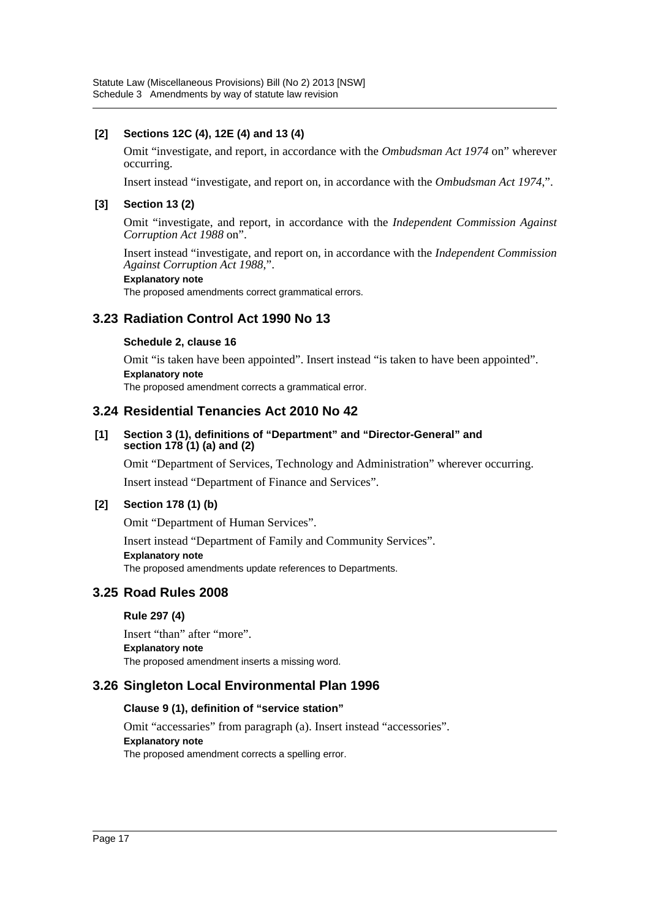### **[2] Sections 12C (4), 12E (4) and 13 (4)**

Omit "investigate, and report, in accordance with the *Ombudsman Act 1974* on" wherever occurring.

Insert instead "investigate, and report on, in accordance with the *Ombudsman Act 1974*,".

### **[3] Section 13 (2)**

Omit "investigate, and report, in accordance with the *Independent Commission Against Corruption Act 1988* on".

Insert instead "investigate, and report on, in accordance with the *Independent Commission Against Corruption Act 1988*,".

#### **Explanatory note**

The proposed amendments correct grammatical errors.

# **3.23 Radiation Control Act 1990 No 13**

### **Schedule 2, clause 16**

Omit "is taken have been appointed". Insert instead "is taken to have been appointed". **Explanatory note**

The proposed amendment corrects a grammatical error.

### **3.24 Residential Tenancies Act 2010 No 42**

#### **[1] Section 3 (1), definitions of "Department" and "Director-General" and section 178 (1) (a) and (2)**

Omit "Department of Services, Technology and Administration" wherever occurring.

Insert instead "Department of Finance and Services".

### **[2] Section 178 (1) (b)**

Omit "Department of Human Services".

Insert instead "Department of Family and Community Services".

**Explanatory note**

The proposed amendments update references to Departments.

### **3.25 Road Rules 2008**

### **Rule 297 (4)**

Insert "than" after "more". **Explanatory note** The proposed amendment inserts a missing word.

### **3.26 Singleton Local Environmental Plan 1996**

#### **Clause 9 (1), definition of "service station"**

Omit "accessaries" from paragraph (a). Insert instead "accessories". **Explanatory note** The proposed amendment corrects a spelling error.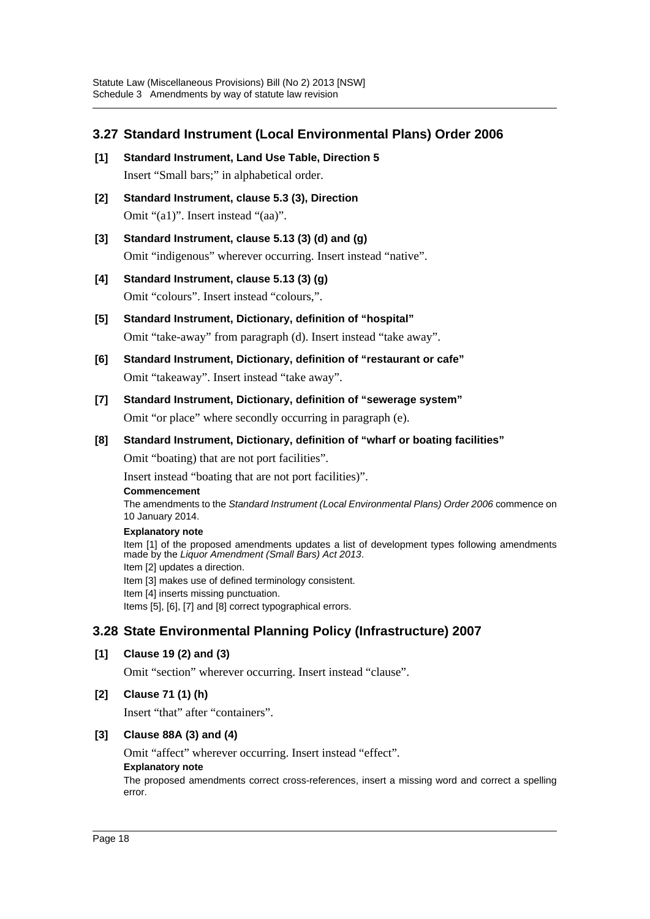# **3.27 Standard Instrument (Local Environmental Plans) Order 2006**

- **[1] Standard Instrument, Land Use Table, Direction 5** Insert "Small bars;" in alphabetical order.
- **[2] Standard Instrument, clause 5.3 (3), Direction** Omit "(a1)". Insert instead "(aa)".
- **[3] Standard Instrument, clause 5.13 (3) (d) and (g)** Omit "indigenous" wherever occurring. Insert instead "native".
- **[4] Standard Instrument, clause 5.13 (3) (g)** Omit "colours". Insert instead "colours,".
- **[5] Standard Instrument, Dictionary, definition of "hospital"** Omit "take-away" from paragraph (d). Insert instead "take away".
- **[6] Standard Instrument, Dictionary, definition of "restaurant or cafe"** Omit "takeaway". Insert instead "take away".
- **[7] Standard Instrument, Dictionary, definition of "sewerage system"** Omit "or place" where secondly occurring in paragraph (e).
- **[8] Standard Instrument, Dictionary, definition of "wharf or boating facilities"**

Omit "boating) that are not port facilities".

Insert instead "boating that are not port facilities)".

#### **Commencement**

The amendments to the *Standard Instrument (Local Environmental Plans) Order 2006* commence on 10 January 2014.

#### **Explanatory note**

Item [1] of the proposed amendments updates a list of development types following amendments made by the *Liquor Amendment (Small Bars) Act 2013*. Item [2] updates a direction. Item [3] makes use of defined terminology consistent. Item [4] inserts missing punctuation. Items [5], [6], [7] and [8] correct typographical errors.

# **3.28 State Environmental Planning Policy (Infrastructure) 2007**

### **[1] Clause 19 (2) and (3)**

Omit "section" wherever occurring. Insert instead "clause".

### **[2] Clause 71 (1) (h)**

Insert "that" after "containers".

### **[3] Clause 88A (3) and (4)**

Omit "affect" wherever occurring. Insert instead "effect".

#### **Explanatory note**

The proposed amendments correct cross-references, insert a missing word and correct a spelling error.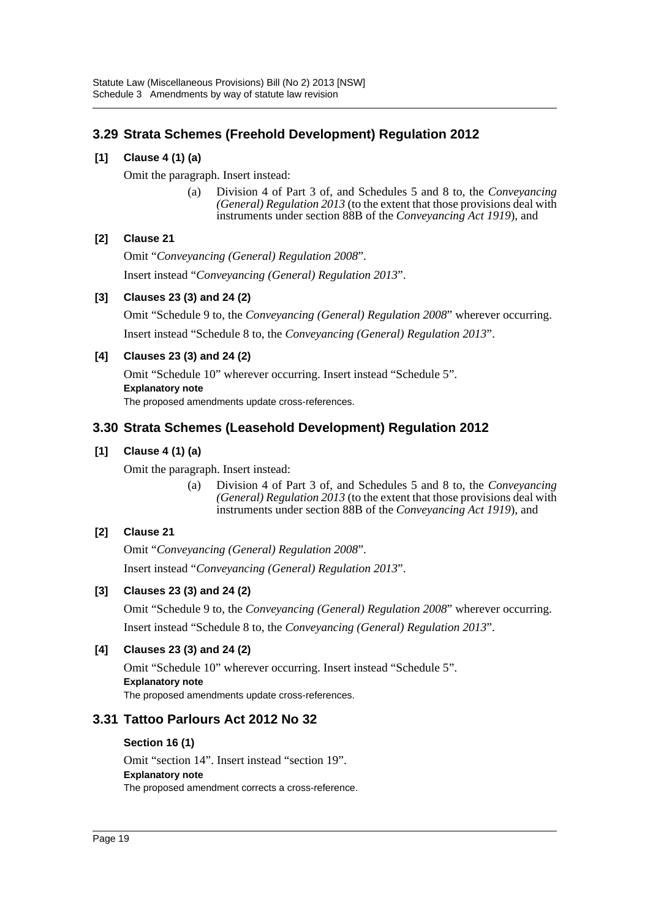# **3.29 Strata Schemes (Freehold Development) Regulation 2012**

### **[1] Clause 4 (1) (a)**

Omit the paragraph. Insert instead:

(a) Division 4 of Part 3 of, and Schedules 5 and 8 to, the *Conveyancing (General) Regulation 2013* (to the extent that those provisions deal with instruments under section 88B of the *Conveyancing Act 1919*), and

### **[2] Clause 21**

Omit "*Conveyancing (General) Regulation 2008*". Insert instead "*Conveyancing (General) Regulation 2013*".

### **[3] Clauses 23 (3) and 24 (2)**

Omit "Schedule 9 to, the *Conveyancing (General) Regulation 2008*" wherever occurring. Insert instead "Schedule 8 to, the *Conveyancing (General) Regulation 2013*".

### **[4] Clauses 23 (3) and 24 (2)**

Omit "Schedule 10" wherever occurring. Insert instead "Schedule 5". **Explanatory note** The proposed amendments update cross-references.

### **3.30 Strata Schemes (Leasehold Development) Regulation 2012**

### **[1] Clause 4 (1) (a)**

Omit the paragraph. Insert instead:

(a) Division 4 of Part 3 of, and Schedules 5 and 8 to, the *Conveyancing (General) Regulation 2013* (to the extent that those provisions deal with instruments under section 88B of the *Conveyancing Act 1919*), and

### **[2] Clause 21**

Omit "*Conveyancing (General) Regulation 2008*". Insert instead "*Conveyancing (General) Regulation 2013*".

### **[3] Clauses 23 (3) and 24 (2)**

Omit "Schedule 9 to, the *Conveyancing (General) Regulation 2008*" wherever occurring. Insert instead "Schedule 8 to, the *Conveyancing (General) Regulation 2013*".

### **[4] Clauses 23 (3) and 24 (2)**

Omit "Schedule 10" wherever occurring. Insert instead "Schedule 5". **Explanatory note** The proposed amendments update cross-references.

### **3.31 Tattoo Parlours Act 2012 No 32**

### **Section 16 (1)**

Omit "section 14". Insert instead "section 19". **Explanatory note** The proposed amendment corrects a cross-reference.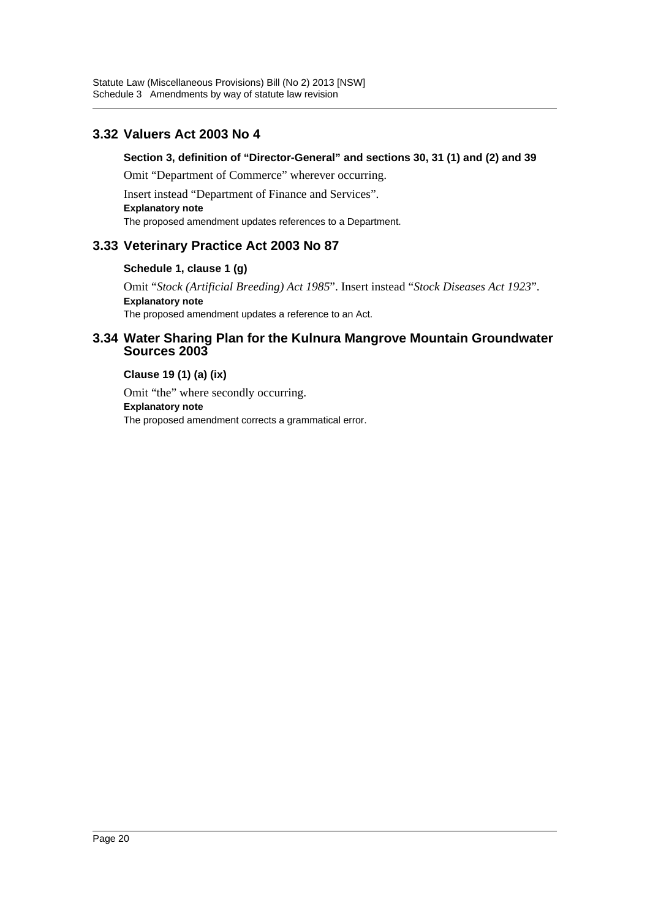# **3.32 Valuers Act 2003 No 4**

### **Section 3, definition of "Director-General" and sections 30, 31 (1) and (2) and 39**

Omit "Department of Commerce" wherever occurring.

Insert instead "Department of Finance and Services".

**Explanatory note**

The proposed amendment updates references to a Department.

# **3.33 Veterinary Practice Act 2003 No 87**

### **Schedule 1, clause 1 (g)**

Omit "*Stock (Artificial Breeding) Act 1985*". Insert instead "*Stock Diseases Act 1923*". **Explanatory note** The proposed amendment updates a reference to an Act.

### **3.34 Water Sharing Plan for the Kulnura Mangrove Mountain Groundwater Sources 2003**

### **Clause 19 (1) (a) (ix)**

Omit "the" where secondly occurring. **Explanatory note** The proposed amendment corrects a grammatical error.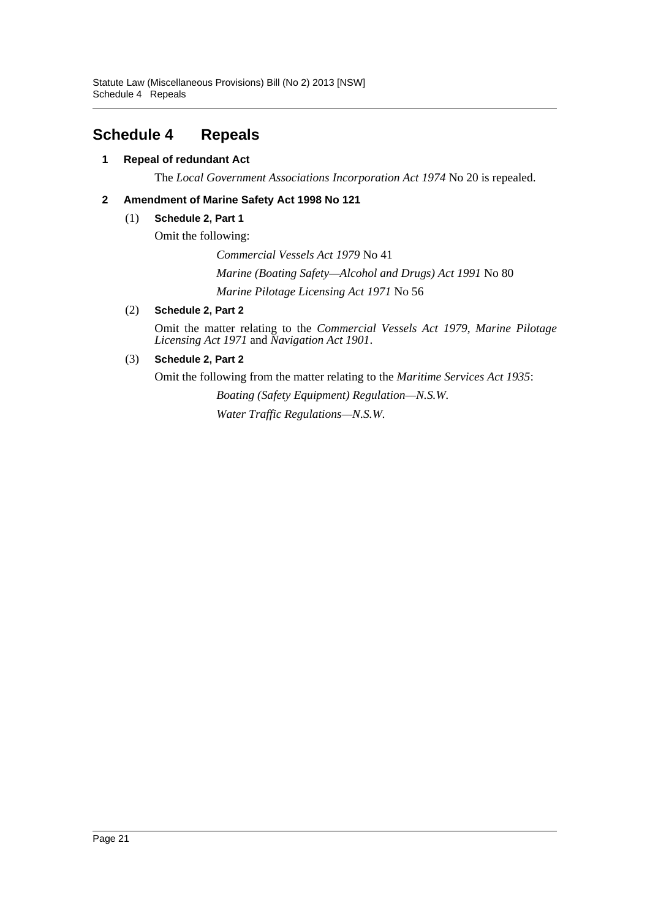# <span id="page-21-0"></span>**Schedule 4 Repeals**

### **1 Repeal of redundant Act**

The *Local Government Associations Incorporation Act 1974* No 20 is repealed.

### **2 Amendment of Marine Safety Act 1998 No 121**

#### (1) **Schedule 2, Part 1**

Omit the following:

*Commercial Vessels Act 1979* No 41

*Marine (Boating Safety—Alcohol and Drugs) Act 1991* No 80 *Marine Pilotage Licensing Act 1971* No 56

### (2) **Schedule 2, Part 2**

Omit the matter relating to the *Commercial Vessels Act 1979*, *Marine Pilotage Licensing Act 1971* and *Navigation Act 1901*.

### (3) **Schedule 2, Part 2**

Omit the following from the matter relating to the *Maritime Services Act 1935*:

*Boating (Safety Equipment) Regulation—N.S.W. Water Traffic Regulations—N.S.W.*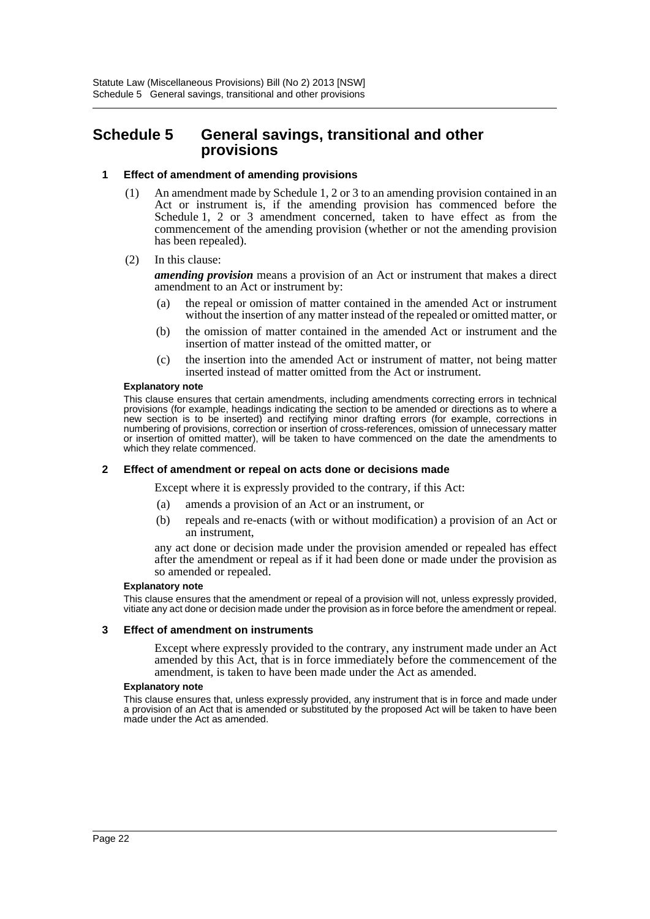# <span id="page-22-0"></span>**Schedule 5 General savings, transitional and other provisions**

#### **1 Effect of amendment of amending provisions**

- (1) An amendment made by Schedule 1, 2 or 3 to an amending provision contained in an Act or instrument is, if the amending provision has commenced before the Schedule 1, 2 or 3 amendment concerned, taken to have effect as from the commencement of the amending provision (whether or not the amending provision has been repealed).
- (2) In this clause:

*amending provision* means a provision of an Act or instrument that makes a direct amendment to an Act or instrument by:

- (a) the repeal or omission of matter contained in the amended Act or instrument without the insertion of any matter instead of the repealed or omitted matter, or
- (b) the omission of matter contained in the amended Act or instrument and the insertion of matter instead of the omitted matter, or
- (c) the insertion into the amended Act or instrument of matter, not being matter inserted instead of matter omitted from the Act or instrument.

#### **Explanatory note**

This clause ensures that certain amendments, including amendments correcting errors in technical provisions (for example, headings indicating the section to be amended or directions as to where a new section is to be inserted) and rectifying minor drafting errors (for example, corrections in numbering of provisions, correction or insertion of cross-references, omission of unnecessary matter or insertion of omitted matter), will be taken to have commenced on the date the amendments to which they relate commenced.

#### **2 Effect of amendment or repeal on acts done or decisions made**

Except where it is expressly provided to the contrary, if this Act:

- (a) amends a provision of an Act or an instrument, or
- (b) repeals and re-enacts (with or without modification) a provision of an Act or an instrument,

any act done or decision made under the provision amended or repealed has effect after the amendment or repeal as if it had been done or made under the provision as so amended or repealed.

#### **Explanatory note**

This clause ensures that the amendment or repeal of a provision will not, unless expressly provided, vitiate any act done or decision made under the provision as in force before the amendment or repeal.

#### **3 Effect of amendment on instruments**

Except where expressly provided to the contrary, any instrument made under an Act amended by this Act, that is in force immediately before the commencement of the amendment, is taken to have been made under the Act as amended.

#### **Explanatory note**

This clause ensures that, unless expressly provided, any instrument that is in force and made under a provision of an Act that is amended or substituted by the proposed Act will be taken to have been made under the Act as amended.